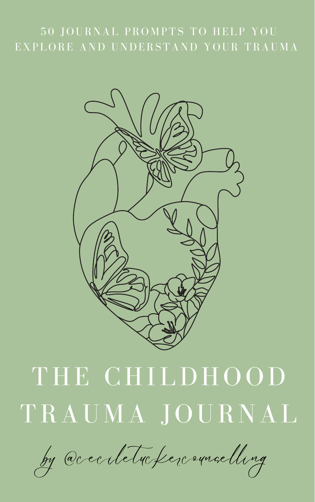## 5 0 JOURNAL PROMPTS TO HELP YOU EXPLORE AND UNDERSTAND YOUR TRAUMA



## THE CHILDHOOD TRAUMA JOURNAL

by @ceciletuckercounselling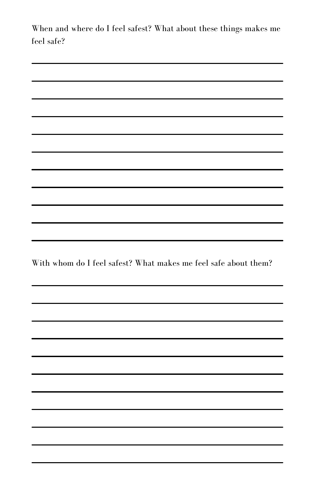When and where do I feel safest? What about these things makes me feel safe?

,我们也不会有什么?""我们的人,我们也不会有什么?""我们的人,我们也不会有什么?""我们的人,我们也不会有什么?""我们的人,我们也不会有什么?""我们的人

With whom do I feel safest? What makes me feel safe about them?

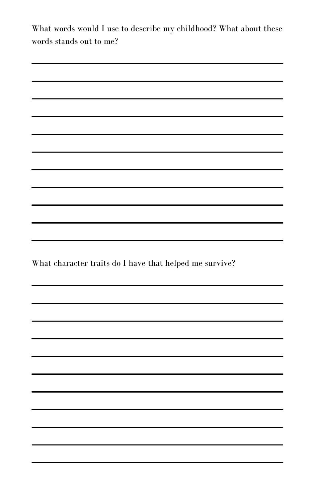What words would I use to describe my childhood? What about these words stands out to me?

<u> 1989 - Andrea Santa Andrea Santa Andrea Santa Andrea Santa Andrea Santa Andrea Santa Andrea Santa Andrea San</u>

,我们也不会有什么。""我们的人,我们也不会有什么?""我们的人,我们也不会有什么?""我们的人,我们也不会有什么?""我们的人,我们也不会有什么?""我们的人

What character traits do I have that helped me survive?

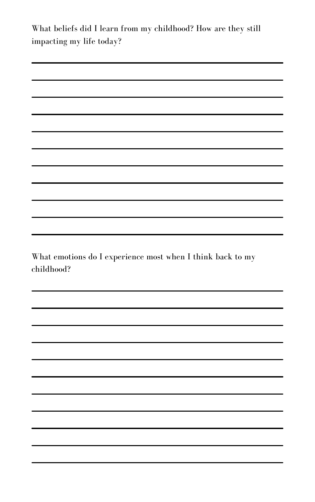What beliefs did I learn from my childhood? How are they still impacting my life today?

What emotions do I experience most when I think back to my  $1 \cdot 11$   $10$ 

| childhood! |  |  |
|------------|--|--|
|            |  |  |

,我们也不会有什么。""我们的人,我们也不会有什么?""我们的人,我们也不会有什么?""我们的人,我们也不会有什么?""我们的人,我们也不会有什么?""我们的人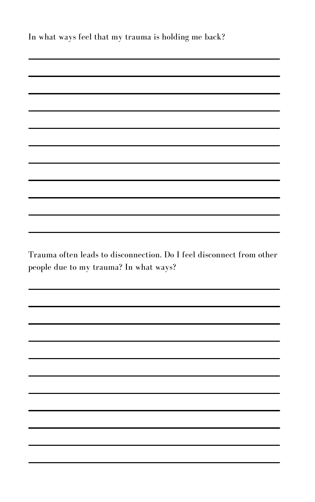Trauma often leads to disconnection. Do I feel disconnect from other people due to my trauma? In what ways?

In what ways feel that my trauma is holding me back?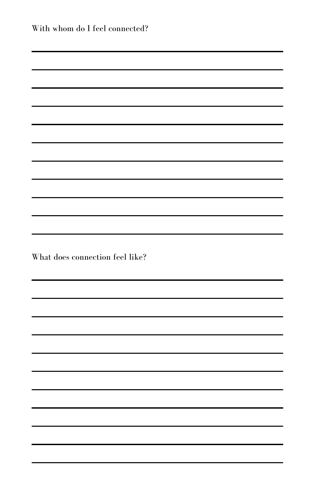With whom do I feel connected?

What does connection feel like?

| and the contract of the contract of the contract of the contract of the contract of the contract of the contract of                                                                                                                  |  |
|--------------------------------------------------------------------------------------------------------------------------------------------------------------------------------------------------------------------------------------|--|
|                                                                                                                                                                                                                                      |  |
|                                                                                                                                                                                                                                      |  |
|                                                                                                                                                                                                                                      |  |
| 的,我们也不会不会不会。""我们的,我们也不会不会不会。""我们的,我们也不会不会不会不会。""我们的,我们也不会不会不会。""我们的,我们也不会不会不会。""我                                                                                                                                                    |  |
| ,我们的人们就会不会不会。""我们的人们,我们的人们,我们的人们,我们的人们,我们的人们,我们的人们,我们的人们,我们的人们,我们的人们,我们的人们,我们的人们<br>第151章 我们的人们,我们的人们的人们,我们的人们的人们,我们的人们的人们,我们的人们的人们,我们的人们的人们,我们的人们,我们的人们,我们的人们,我们的人们                                                                 |  |
| $\blacksquare$ . The contract of the contract of the contract of the contract of the contract of the contract of the contract of the contract of the contract of the contract of the contract of the contract of the contract of the |  |
|                                                                                                                                                                                                                                      |  |
|                                                                                                                                                                                                                                      |  |
|                                                                                                                                                                                                                                      |  |
|                                                                                                                                                                                                                                      |  |

,我们也不会有什么。""我们的人,我们也不会有什么?""我们的人,我们也不会有什么?""我们的人,我们也不会有什么?""我们的人,我们也不会有什么?""我们的人

,我们也不会有什么。""我们的人,我们也不会有什么?""我们的人,我们也不会有什么?""我们的人,我们也不会有什么?""我们的人,我们也不会有什么?""我们的人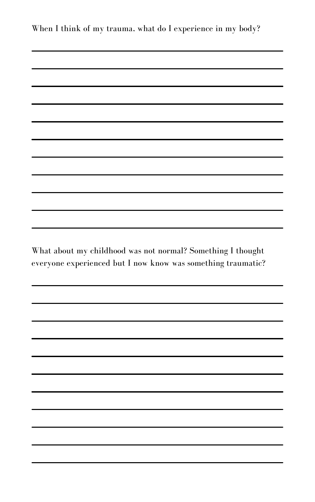When I think of my trauma, what do I experience in my body?

a se de la construcción de la construcción de la construcción de la construcción de la construcción de la cons<br>A la construcción de la construcción de la construcción de la construcción de la construcción de la construcci

 $\mathcal{L}(\mathcal{L}(\mathcal{L}))$  is a set of the set of the set of the set of the set of the set of the set of the set of the set of the set of the set of the set of the set of the set of the set of the set of the set of the set of t

What about my childhood was not normal? Something I thought everyone experienced but I now know was something traumatic?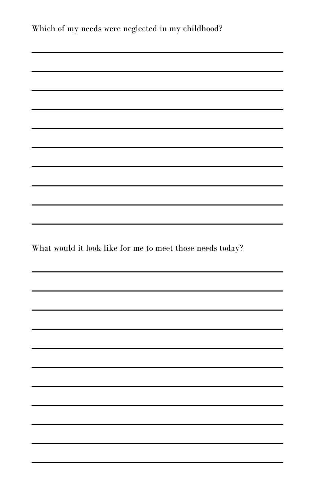Which of my needs were neglected in my childhood?

,我们也不会有什么。""我们的人,我们也不会有什么?""我们的人,我们也不会有什么?""我们的人,我们也不会有什么?""我们的人,我们也不会有什么?""我们的人

What would it look like for me to meet those needs today?

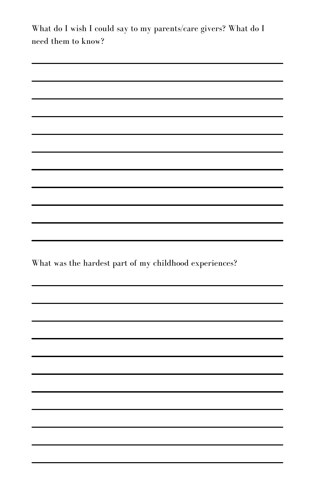What do I wish I could say to my parents/care givers? What do I need them to know?

,我们也不会有什么。""我们的人,我们也不会有什么?""我们的人,我们也不会有什么?""我们的人,我们也不会有什么?""我们的人,我们也不会有什么?""我们的人

What was the hardest part of my childhood experiences?

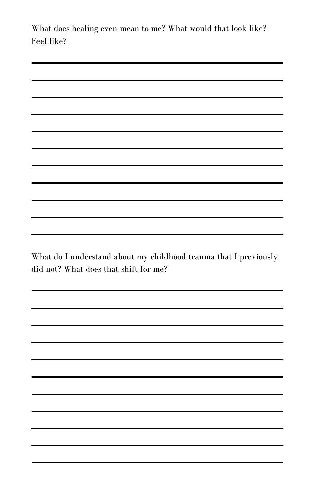What does healing even mean to me? What would that look like? Feel like?

and the contract of the contract of the contract of the contract of the contract of the contract of the contract of

,我们也不会有什么。""我们的人,我们也不会有什么?""我们的人,我们也不会有什么?""我们的人,我们也不会有什么?""我们的人,我们也不会有什么?""我们的人

What do I understand about my childhood trauma that I previously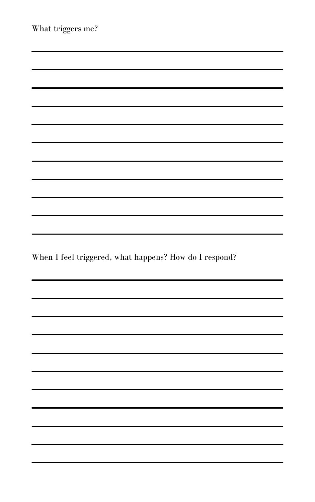|  | What triggers me? |  |
|--|-------------------|--|
|--|-------------------|--|

When I feel triggered, what happens? How do I respond?

 $\mathcal{L}(\mathcal{L})$  and  $\mathcal{L}(\mathcal{L})$  and  $\mathcal{L}(\mathcal{L})$  and  $\mathcal{L}(\mathcal{L})$  and  $\mathcal{L}(\mathcal{L})$  and  $\mathcal{L}(\mathcal{L})$  and  $\mathcal{L}(\mathcal{L})$ 

,我们也不会有什么。""我们的人,我们也不会有什么?""我们的人,我们也不会有什么?""我们的人,我们也不会有什么?""我们的人,我们也不会有什么?""我们的人

,我们也不会有什么。""我们的人,我们也不会有什么?""我们的人,我们也不会有什么?""我们的人,我们也不会有什么?""我们的人,我们也不会有什么?""我们的人

|                                                                                                                                                                                                                                      | <u> The Community of the Community of the Community of the Community of the Community of the Community of the Community of the Community of the Community of the Community of the Community of the Community of the Community of</u> |
|--------------------------------------------------------------------------------------------------------------------------------------------------------------------------------------------------------------------------------------|--------------------------------------------------------------------------------------------------------------------------------------------------------------------------------------------------------------------------------------|
|                                                                                                                                                                                                                                      |                                                                                                                                                                                                                                      |
| ,一个人都是一个人的人,一个人都是一个人的人,一个人都是一个人的人,一个人都是一个人的人,一个人都是一个人的人,一个人都是一个人的人,一个人都是一个人的人,一个人                                                                                                                                                    |                                                                                                                                                                                                                                      |
| ,我们的人们就会不会不会。""我们的人们,我们的人们,我们的人们,我们的人们,我们的人们,我们的人们,我们的人们,我们的人们,我们的人们,我们的人们,我们的人们<br>第151章 我们的人们,我们的人们的人们,我们的人们的人们,我们的人们的人们,我们的人们的人们,我们的人们的人们,我们的人们,我们的人们,我们的人们,我们的人们                                                                 |                                                                                                                                                                                                                                      |
| $\blacksquare$ . The contract of the contract of the contract of the contract of the contract of the contract of the contract of the contract of the contract of the contract of the contract of the contract of the contract of the |                                                                                                                                                                                                                                      |
|                                                                                                                                                                                                                                      |                                                                                                                                                                                                                                      |
|                                                                                                                                                                                                                                      |                                                                                                                                                                                                                                      |
|                                                                                                                                                                                                                                      |                                                                                                                                                                                                                                      |
|                                                                                                                                                                                                                                      |                                                                                                                                                                                                                                      |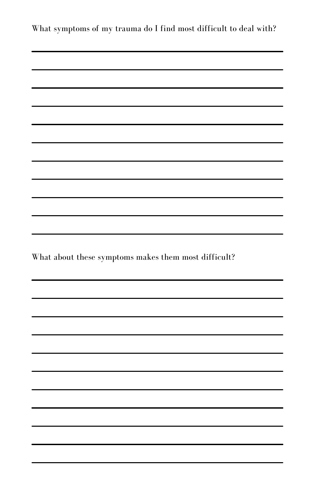What symptoms of my trauma do I find most difficult to deal with?

,我们也不会有什么?""我们的人,我们也不会有什么?""我们的人,我们也不会有什么?""我们的人,我们也不会有什么?""我们的人,我们也不会有什么?""我们的人

,我们也不会有什么。""我们的人,我们也不会有什么?""我们的人,我们也不会有什么?""我们的人,我们也不会有什么?""我们的人,我们也不会有什么?""我们的人

What about these symptoms makes them most difficult?

| and the contract of the contract of the contract of the contract of the contract of the contract of the contract of                                                                                                                  |                                                                                                                                                                                                                                      |
|--------------------------------------------------------------------------------------------------------------------------------------------------------------------------------------------------------------------------------------|--------------------------------------------------------------------------------------------------------------------------------------------------------------------------------------------------------------------------------------|
|                                                                                                                                                                                                                                      |                                                                                                                                                                                                                                      |
|                                                                                                                                                                                                                                      | <u> The Community of the Community of the Community of the Community of the Community of the Community of the Community of the Community of the Community of the Community of the Community of the Community of the Community of</u> |
|                                                                                                                                                                                                                                      |                                                                                                                                                                                                                                      |
| 的,我们也不会不会不会。""我们的人,我们也不会不会不会。""我们的人,我们也不会不会不会不会。""我们的人,我们也不会不会不会。""我们的人,我们也不会不会不                                                                                                                                                     |                                                                                                                                                                                                                                      |
|                                                                                                                                                                                                                                      |                                                                                                                                                                                                                                      |
| $\blacksquare$ . The contract of the contract of the contract of the contract of the contract of the contract of the contract of the contract of the contract of the contract of the contract of the contract of the contract of the |                                                                                                                                                                                                                                      |
|                                                                                                                                                                                                                                      |                                                                                                                                                                                                                                      |
|                                                                                                                                                                                                                                      |                                                                                                                                                                                                                                      |
|                                                                                                                                                                                                                                      |                                                                                                                                                                                                                                      |
|                                                                                                                                                                                                                                      |                                                                                                                                                                                                                                      |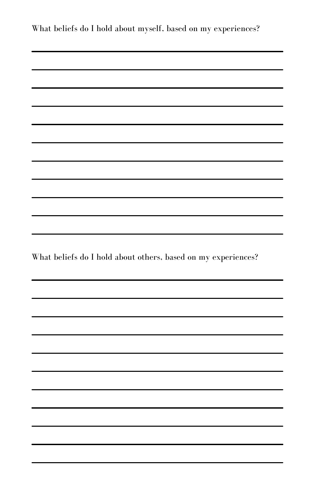## What beliefs do I hold about myself, based on my experiences?

and the control of the control of the control of the control of the control of the control of the control of the

,我们也不会有什么。""我们的人,我们也不会有什么?""我们的人,我们也不会有什么?""我们的人,我们也不会有什么?""我们的人,我们也不会有什么?""我们的人

,我们也不会有什么。""我们的人,我们也不会有什么?""我们的人,我们也不会有什么?""我们的人,我们也不会有什么?""我们的人,我们也不会有什么?""我们的人

What beliefs do I hold about others, based on my experiences?

|                                                                                                                                                                                                                                      | <u> The Community of the Community of the Community of the Community of the Community of the Community of the Community of the Community of the Community of the Community of the Community of the Community of the Community of</u> |
|--------------------------------------------------------------------------------------------------------------------------------------------------------------------------------------------------------------------------------------|--------------------------------------------------------------------------------------------------------------------------------------------------------------------------------------------------------------------------------------|
|                                                                                                                                                                                                                                      |                                                                                                                                                                                                                                      |
| ,一个人都是一个人的人,一个人都是一个人的人,一个人都是一个人的人,一个人都是一个人的人,一个人都是一个人的人,一个人都是一个人的人,一个人都是一个人的人,一个人                                                                                                                                                    |                                                                                                                                                                                                                                      |
|                                                                                                                                                                                                                                      |                                                                                                                                                                                                                                      |
| $\blacksquare$ . The contract of the contract of the contract of the contract of the contract of the contract of the contract of the contract of the contract of the contract of the contract of the contract of the contract of the |                                                                                                                                                                                                                                      |
|                                                                                                                                                                                                                                      |                                                                                                                                                                                                                                      |
|                                                                                                                                                                                                                                      |                                                                                                                                                                                                                                      |
|                                                                                                                                                                                                                                      |                                                                                                                                                                                                                                      |
|                                                                                                                                                                                                                                      |                                                                                                                                                                                                                                      |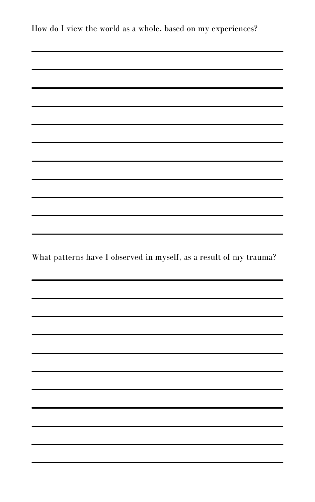How do I view the world as a whole, based on my experiences?

and the control of the control of the control of the control of the control of the control of the control of the

,我们也不会有什么。""我们的人,我们也不会有什么?""我们的人,我们也不会有什么?""我们的人,我们也不会有什么?""我们的人,我们也不会有什么?""我们的人

What patterns have I observed in myself, as a result of my trauma?

|                                                                                                                                                                                                                                      | <u> The Community of the Community of the Community of the Community of the Community of the Community of the Community of the Community of the Community of the Community of the Community of the Community of the Community of</u> |
|--------------------------------------------------------------------------------------------------------------------------------------------------------------------------------------------------------------------------------------|--------------------------------------------------------------------------------------------------------------------------------------------------------------------------------------------------------------------------------------|
|                                                                                                                                                                                                                                      |                                                                                                                                                                                                                                      |
| ,一个人都是一个人的人,一个人都是一个人的人,一个人都是一个人的人,一个人都是一个人的人,一个人都是一个人的人,一个人都是一个人的人,一个人都是一个人的人,一个人                                                                                                                                                    |                                                                                                                                                                                                                                      |
| ,我们的人们就会不会不会。""我们的人们,我们的人们,我们的人们,我们的人们,我们的人们,我们的人们,我们的人们,我们的人们,我们的人们,我们的人们,我们的人们<br>第151章 我们的人们,我们的人们的人们,我们的人们的人们,我们的人们的人们,我们的人们的人们,我们的人们的人们,我们的人们,我们的人们,我们的人们,我们的人们                                                                 |                                                                                                                                                                                                                                      |
| $\blacksquare$ . The contract of the contract of the contract of the contract of the contract of the contract of the contract of the contract of the contract of the contract of the contract of the contract of the contract of the |                                                                                                                                                                                                                                      |
|                                                                                                                                                                                                                                      |                                                                                                                                                                                                                                      |
|                                                                                                                                                                                                                                      |                                                                                                                                                                                                                                      |
|                                                                                                                                                                                                                                      |                                                                                                                                                                                                                                      |
|                                                                                                                                                                                                                                      |                                                                                                                                                                                                                                      |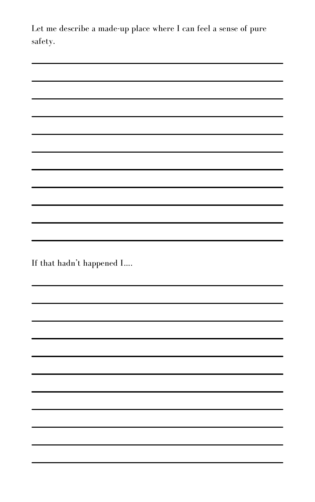Let me describe a made-up place where I can feel a sense of pure safety.

and the control of the control of the control of the control of the control of the control of the control of the

,我们也不会有什么。""我们的人,我们也不会有什么?""我们的人,我们也不会有什么?""我们的人,我们也不会有什么?""我们的人,我们也不会有什么?""我们的人

If that hadn 't happened I….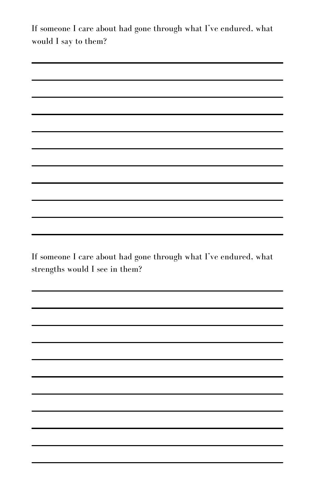If someone I care about had gone through what I've endured, what would I say to them?

,我们也不会有什么。""我们的人,我们也不会有什么?""我们的人,我们也不会有什么?""我们的人,我们也不会有什么?""我们的人,我们也不会有什么?""我们的人

If someone I care about had gone through what I've endured, what strengths would I see in them?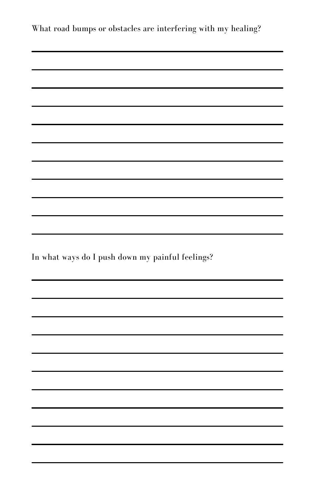What road bumps or obstacles are interfering with my healing?

In what ways do I push down my painful feelings?

|                                                                                                                                                                                                                                      | <u> The Community of the Community of the Community of the Community of the Community of the Community of the Community of the Community of the Community of the Community of the Community of the Community of the Community of</u> |
|--------------------------------------------------------------------------------------------------------------------------------------------------------------------------------------------------------------------------------------|--------------------------------------------------------------------------------------------------------------------------------------------------------------------------------------------------------------------------------------|
|                                                                                                                                                                                                                                      |                                                                                                                                                                                                                                      |
| 的,我们也不会不会不会。""我们的人,我们也不会不会不会。""我们的人,我们也不会不会不会不会。""我们的人,我们也不会不会不会。""我们的人,我们也不会不会不                                                                                                                                                     |                                                                                                                                                                                                                                      |
| ,我们的人们就会不会不会。""我们的人们,我们的人们,我们的人们,我们的人们,我们的人们,我们的人们,我们的人们,我们的人们,我们的人们,我们的人们,我们的人们<br>第151章 我们的人们,我们的人们的人们,我们的人们的人们,我们的人们的人们,我们的人们的人们,我们的人们的人们,我们的人们,我们的人们,我们的人们,我们的人们                                                                 |                                                                                                                                                                                                                                      |
| $\blacksquare$ . The contract of the contract of the contract of the contract of the contract of the contract of the contract of the contract of the contract of the contract of the contract of the contract of the contract of the |                                                                                                                                                                                                                                      |
|                                                                                                                                                                                                                                      |                                                                                                                                                                                                                                      |
|                                                                                                                                                                                                                                      |                                                                                                                                                                                                                                      |
|                                                                                                                                                                                                                                      |                                                                                                                                                                                                                                      |
|                                                                                                                                                                                                                                      |                                                                                                                                                                                                                                      |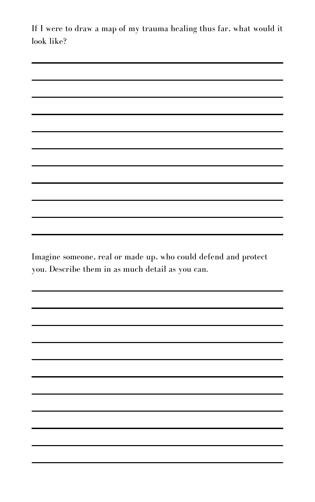If I were to draw a map of my trauma healing thus far, what would it look like?

 $\mathcal{L}(\mathcal{L}(\mathcal{L}))$  is a set of the set of the set of the set of the set of the set of the set of the set of the set of the set of the set of the set of the set of the set of the set of the set of the set of the set of t

,我们也不会有什么。""我们的人,我们也不会有什么?""我们的人,我们也不会有什么?""我们的人,我们也不会有什么?""我们的人,我们也不会有什么?""我们的人

Imagine someone, real or made up, who could defend and protect you. Describe them in as much detail as you can.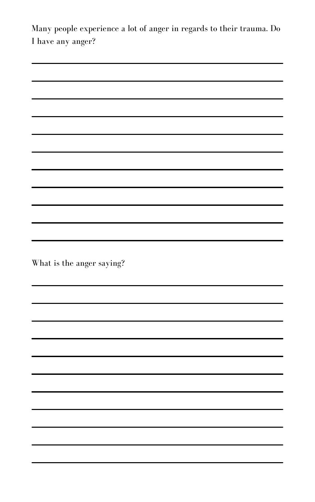Many people experience a lot of anger in regards to their trauma. Do I have any anger?

,我们也不能在这里的时候,我们也不能在这里的时候,我们也不能会在这里的时候,我们也不能会在这里的时候,我们也不能会在这里的时候,我们也不能会在这里的时候,我们也

What is the anger saying?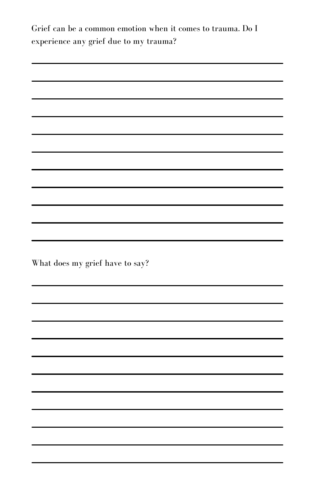Grief can be a common emotion when it comes to trauma. Do I experience any grief due to my trauma?

What does my grief have to say?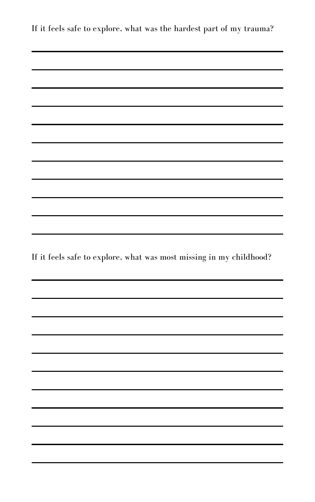If it feels safe to explore, what was the hardest part of my trauma?

,我们也不会有什么?""我们的人,我们也不会有什么?""我们的人,我们也不会有什么?""我们的人,我们也不会有什么?""我们的人,我们也不会有什么?""我们的人

If it feels safe to explore, what was most missing in my childhood?

| ,我们也不会不会不会。""我们的人,我们也不会不会不会。""我们的人,我们也不会不会不会不会。""我们的人,我们也不会不会不会不会。""我们的人,我们也不会不会 |  |
|----------------------------------------------------------------------------------|--|
|                                                                                  |  |
|                                                                                  |  |
|                                                                                  |  |
|                                                                                  |  |
|                                                                                  |  |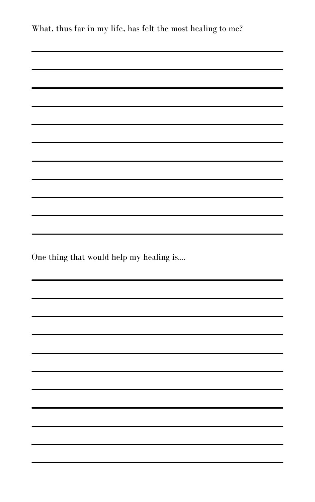What, thus far in my life, has felt the most healing to me?

,我们也不会有什么?""我们的人,我们也不会有什么?""我们的人,我们也不会有什么?""我们的人,我们也不会有什么?""我们的人,我们也不会有什么?""我们的人

,我们也不会有什么。""我们的人,我们也不会有什么?""我们的人,我们也不会有什么?""我们的人,我们也不会有什么?""我们的人,我们也不会有什么?""我们的人

One thing that would help my healing is....

| and the contract of the contract of the contract of the contract of the contract of the contract of the contract of                                                                                                                  |  |
|--------------------------------------------------------------------------------------------------------------------------------------------------------------------------------------------------------------------------------------|--|
|                                                                                                                                                                                                                                      |  |
|                                                                                                                                                                                                                                      |  |
|                                                                                                                                                                                                                                      |  |
| 的,我们也不会不会不会。""我们的人,我们也不会不会不会。""我们的人,我们也不会不会不会不会。""我们的人,我们也不会不会不会。""我们的人,我们也不会不会不                                                                                                                                                     |  |
| ,我们的人们就会不会不会。""我们的人们,我们的人们,我们的人们,我们的人们,我们的人们,我们的人们,我们的人们,我们的人们,我们的人们,我们的人们,我们的人们<br>第151章 我们的人们,我们的人们的人们,我们的人们的人们,我们的人们的人们,我们的人们的人们,我们的人们的人们,我们的人们,我们的人们,我们的人们,我们的人们                                                                 |  |
| $\blacksquare$ . The contract of the contract of the contract of the contract of the contract of the contract of the contract of the contract of the contract of the contract of the contract of the contract of the contract of the |  |
|                                                                                                                                                                                                                                      |  |
|                                                                                                                                                                                                                                      |  |
|                                                                                                                                                                                                                                      |  |
|                                                                                                                                                                                                                                      |  |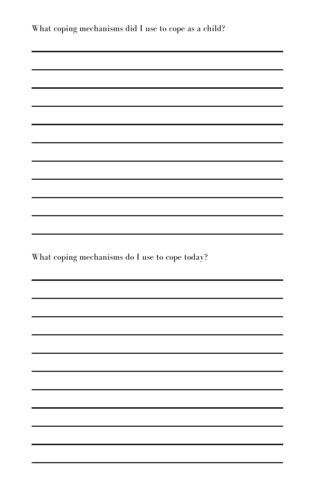What coping mechanisms did I use to cope as a child?

,我们也不会不会不会。""我们的人,我们也不会不会不会。""我们的人,我们也不会不会不会不会。""我们的人,我们也不会不会不会不会。""我们的人,我们也不会不会

,我们也不会有什么?""我们的人,我们也不会有什么?""我们的人,我们也不会有什么?""我们的人,我们也不会有什么?""我们的人,我们也不会有什么?""我们的人

What coping mechanisms do I use to cope today?

| and the contract of the contract of the contract of the contract of the contract of the contract of the contract of                                                                                                                  |  |
|--------------------------------------------------------------------------------------------------------------------------------------------------------------------------------------------------------------------------------------|--|
|                                                                                                                                                                                                                                      |  |
|                                                                                                                                                                                                                                      |  |
|                                                                                                                                                                                                                                      |  |
| 的,我们也不会不会不会。""我们的人,我们也不会不会不会。""我们的人,我们也不会不会不会不会。""我们的人,我们也不会不会不会。""我们的人,我们也不会不会不                                                                                                                                                     |  |
| ,我们的人们就会不会不会。""我们的人们,我们的人们,我们的人们,我们的人们,我们的人们,我们的人们,我们的人们,我们的人们,我们的人们,我们的人们,我们的人们<br>第151章 我们的人们,我们的人们的人们,我们的人们的人们,我们的人们的人们,我们的人们的人们,我们的人们的人们,我们的人们,我们的人们,我们的人们,我们的人们                                                                 |  |
| $\blacksquare$ . The contract of the contract of the contract of the contract of the contract of the contract of the contract of the contract of the contract of the contract of the contract of the contract of the contract of the |  |
|                                                                                                                                                                                                                                      |  |
|                                                                                                                                                                                                                                      |  |
|                                                                                                                                                                                                                                      |  |
|                                                                                                                                                                                                                                      |  |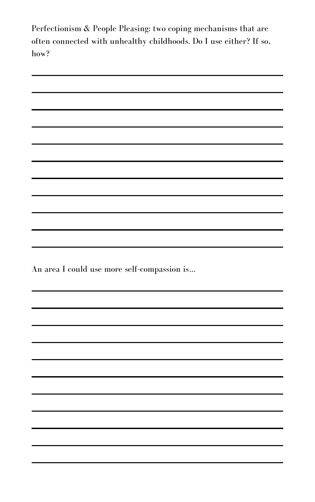Perfectionism & People Pleasing: two coping mechanisms that are often connected with unhealthy childhoods. Do I use either? If so, how?



,我们也不会有什么。""我们的人,我们也不会有什么?""我们的人,我们也不会有什么?""我们的人,我们也不会有什么?""我们的人,我们也不会有什么?""我们的人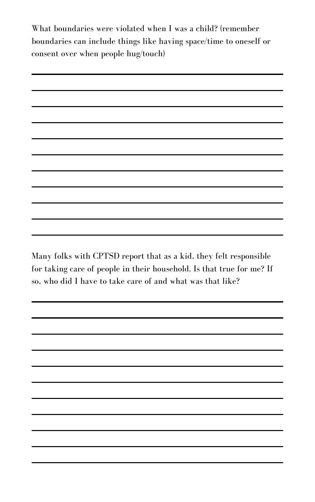What boundaries were violated when I was a child? (remember boundaries can include things like having space/time to oneself or consent over when people hug/touch)

Many folks with CPTSD report that as a kid, they felt responsible for taking care of people in their household. Is that true for me? If so, who did I have to take care of and what was that like?